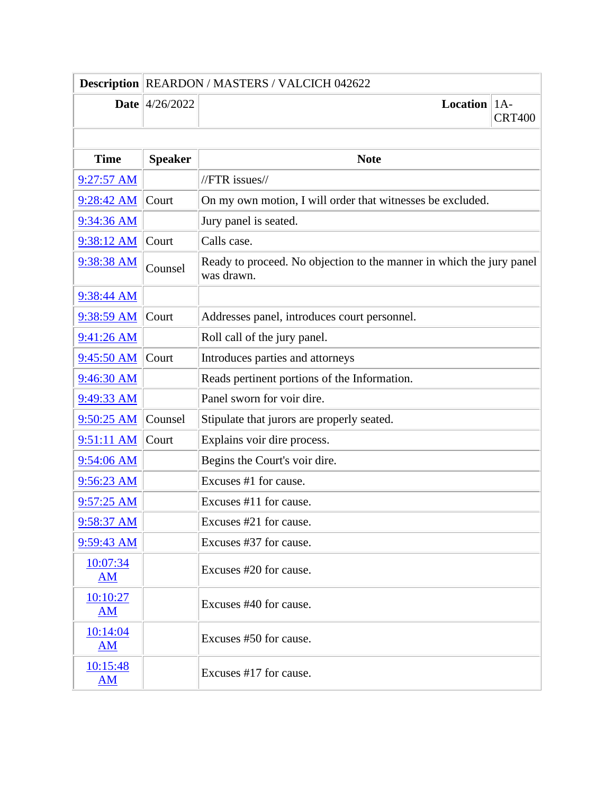|                | Description REARDON / MASTERS / VALCICH 042622 |                                                                                    |               |
|----------------|------------------------------------------------|------------------------------------------------------------------------------------|---------------|
|                | <b>Date</b> $ 4/26/2022$                       | <b>Location</b>   $1A$ -                                                           | <b>CRT400</b> |
|                |                                                |                                                                                    |               |
| <b>Time</b>    | <b>Speaker</b>                                 | <b>Note</b>                                                                        |               |
| $9:27:57$ AM   |                                                | $//$ FTR issues $//$                                                               |               |
| 9:28:42 AM     | Court                                          | On my own motion, I will order that witnesses be excluded.                         |               |
| 9:34:36 AM     |                                                | Jury panel is seated.                                                              |               |
| 9:38:12 AM     | Court                                          | Calls case.                                                                        |               |
| 9:38:38 AM     | Counsel                                        | Ready to proceed. No objection to the manner in which the jury panel<br>was drawn. |               |
| 9:38:44 AM     |                                                |                                                                                    |               |
| 9:38:59 AM     | Court                                          | Addresses panel, introduces court personnel.                                       |               |
| 9:41:26 AM     |                                                | Roll call of the jury panel.                                                       |               |
| 9:45:50 AM     | Court                                          | Introduces parties and attorneys                                                   |               |
| 9:46:30 AM     |                                                | Reads pertinent portions of the Information.                                       |               |
| 9:49:33 AM     |                                                | Panel sworn for voir dire.                                                         |               |
| 9:50:25 AM     | Counsel                                        | Stipulate that jurors are properly seated.                                         |               |
| 9:51:11 AM     | Court                                          | Explains voir dire process.                                                        |               |
| 9:54:06 AM     |                                                | Begins the Court's voir dire.                                                      |               |
| 9:56:23 AM     |                                                | Excuses #1 for cause.                                                              |               |
| $9:57:25$ AM   |                                                | Excuses #11 for cause.                                                             |               |
| 9:58:37 AM     |                                                | Excuses #21 for cause.                                                             |               |
| $9:59:43$ AM   |                                                | Excuses #37 for cause.                                                             |               |
| 10:07:34<br>AM |                                                | Excuses #20 for cause.                                                             |               |
| 10:10:27<br>AM |                                                | Excuses #40 for cause.                                                             |               |
| 10:14:04<br>AM |                                                | Excuses #50 for cause.                                                             |               |
| 10:15:48<br>AM |                                                | Excuses #17 for cause.                                                             |               |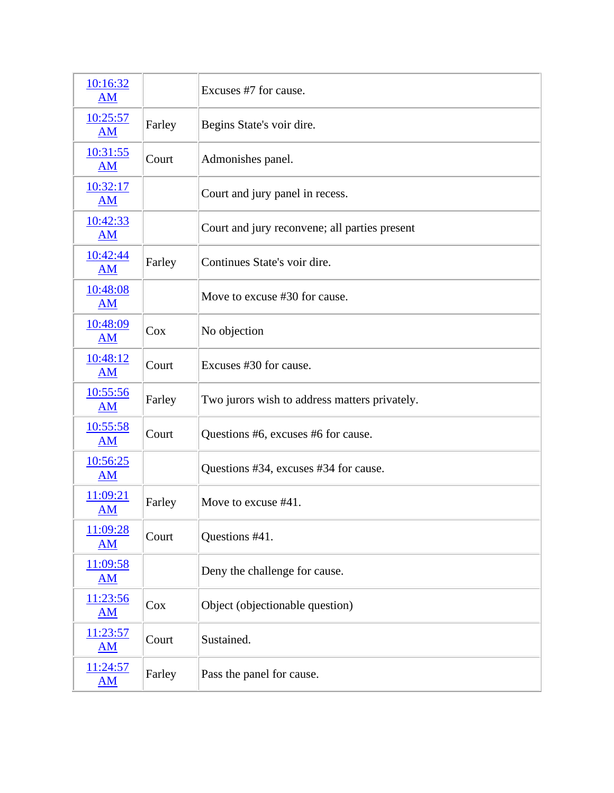| 10:16:32<br>AM                        |        | Excuses #7 for cause.                         |
|---------------------------------------|--------|-----------------------------------------------|
| 10:25:57<br>AM                        | Farley | Begins State's voir dire.                     |
| 10:31:55<br><b>AM</b>                 | Court  | Admonishes panel.                             |
| 10:32:17<br>AM                        |        | Court and jury panel in recess.               |
| 10:42:33<br><b>AM</b>                 |        | Court and jury reconvene; all parties present |
| 10:42:44<br><b>AM</b>                 | Farley | Continues State's voir dire.                  |
| 10:48:08<br><b>AM</b>                 |        | Move to excuse #30 for cause.                 |
| 10:48:09<br>AM                        | Cox    | No objection                                  |
| 10:48:12<br>AM                        | Court  | Excuses #30 for cause.                        |
| 10:55:56<br><b>AM</b>                 | Farley | Two jurors wish to address matters privately. |
| 10:55:58<br><b>AM</b>                 | Court  | Questions #6, excuses #6 for cause.           |
| 10:56:25<br><b>AM</b>                 |        | Questions #34, excuses #34 for cause.         |
| <u>11:09:21</u><br>AM                 | Farley | Move to excuse #41.                           |
| 11:09:28<br><b>AM</b>                 | Court  | Questions #41.                                |
| 11:09:58<br><b>AM</b>                 |        | Deny the challenge for cause.                 |
| 11:23:56<br>AM                        | Cox    | Object (objectionable question)               |
| 11:23:57<br>$\overline{\mathbf{AM}}$  | Court  | Sustained.                                    |
| 11:24:57<br>$\underline{\mathbf{AM}}$ | Farley | Pass the panel for cause.                     |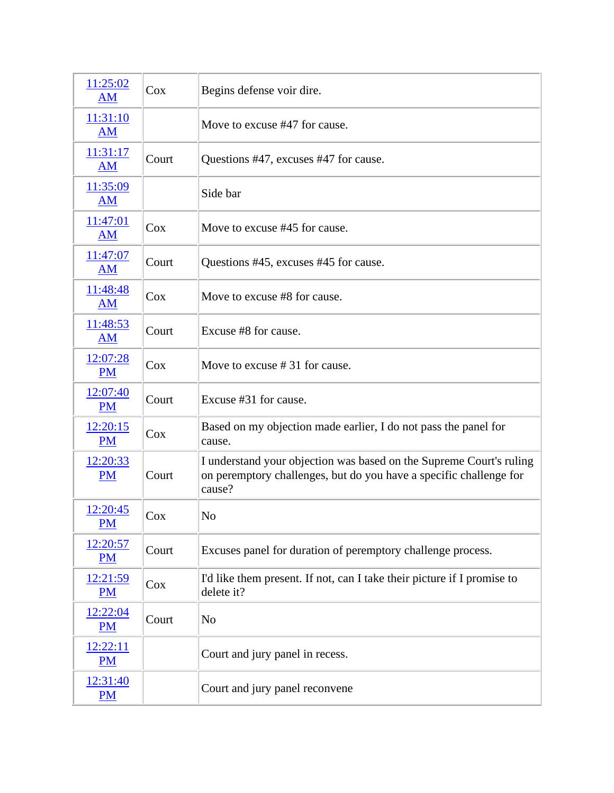| 11:25:02<br>AM        | Cox    | Begins defense voir dire.                                                                                                                           |
|-----------------------|--------|-----------------------------------------------------------------------------------------------------------------------------------------------------|
| 11:31:10<br><b>AM</b> |        | Move to excuse #47 for cause.                                                                                                                       |
| 11:31:17<br><b>AM</b> | Court  | Questions #47, excuses #47 for cause.                                                                                                               |
| 11:35:09<br>AM        |        | Side bar                                                                                                                                            |
| 11:47:01<br><b>AM</b> | Cox    | Move to excuse #45 for cause.                                                                                                                       |
| 11:47:07<br><b>AM</b> | Court  | Questions #45, excuses #45 for cause.                                                                                                               |
| 11:48:48<br>AM        | Cox    | Move to excuse #8 for cause.                                                                                                                        |
| 11:48:53<br>AM        | Court  | Excuse #8 for cause.                                                                                                                                |
| 12:07:28<br><b>PM</b> | Cox    | Move to excuse $#31$ for cause.                                                                                                                     |
| 12:07:40<br><b>PM</b> | Court  | Excuse #31 for cause.                                                                                                                               |
| 12:20:15<br><b>PM</b> | Cox    | Based on my objection made earlier, I do not pass the panel for<br>cause.                                                                           |
| 12:20:33<br><b>PM</b> | Court  | I understand your objection was based on the Supreme Court's ruling<br>on peremptory challenges, but do you have a specific challenge for<br>cause? |
| 12:20:45<br>$PM$      | $\cos$ | No                                                                                                                                                  |
| 12:20:57<br>PM        | Court  | Excuses panel for duration of peremptory challenge process.                                                                                         |
| 12:21:59<br>PM        | Cox    | I'd like them present. If not, can I take their picture if I promise to<br>delete it?                                                               |
| 12:22:04<br><b>PM</b> | Court  | N <sub>o</sub>                                                                                                                                      |
| 12:22:11<br>PM        |        | Court and jury panel in recess.                                                                                                                     |
| 12:31:40<br><b>PM</b> |        | Court and jury panel reconvene                                                                                                                      |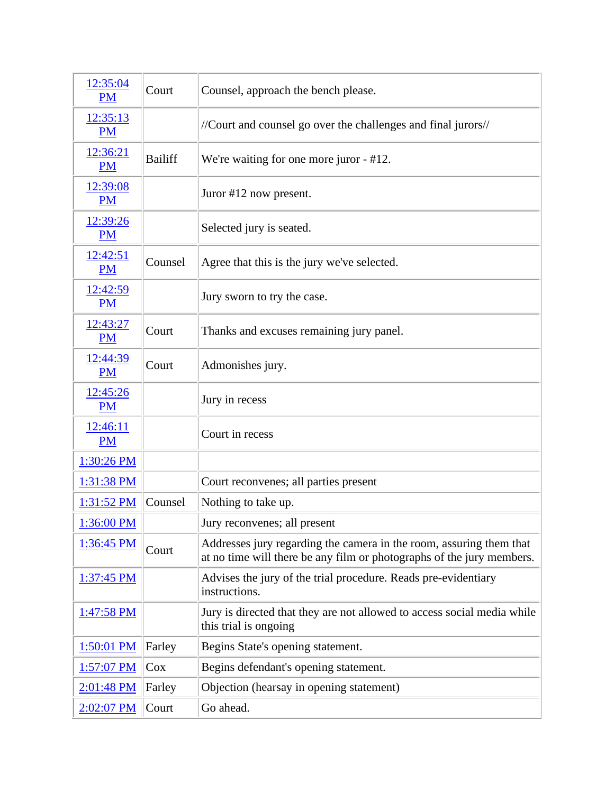| 12:35:04<br><b>PM</b> | Court          | Counsel, approach the bench please.                                                                                                          |
|-----------------------|----------------|----------------------------------------------------------------------------------------------------------------------------------------------|
| 12:35:13<br><b>PM</b> |                | //Court and counsel go over the challenges and final jurors//                                                                                |
| 12:36:21<br><b>PM</b> | <b>Bailiff</b> | We're waiting for one more juror - #12.                                                                                                      |
| 12:39:08<br><b>PM</b> |                | Juror #12 now present.                                                                                                                       |
| 12:39:26<br><b>PM</b> |                | Selected jury is seated.                                                                                                                     |
| 12:42:51<br><b>PM</b> | Counsel        | Agree that this is the jury we've selected.                                                                                                  |
| 12:42:59<br><b>PM</b> |                | Jury sworn to try the case.                                                                                                                  |
| 12:43:27<br><b>PM</b> | Court          | Thanks and excuses remaining jury panel.                                                                                                     |
| 12:44:39<br><b>PM</b> | Court          | Admonishes jury.                                                                                                                             |
| 12:45:26<br><b>PM</b> |                | Jury in recess                                                                                                                               |
| 12:46:11<br><b>PM</b> |                | Court in recess                                                                                                                              |
| 1:30:26 PM            |                |                                                                                                                                              |
| 1:31:38 PM            |                | Court reconvenes; all parties present                                                                                                        |
| $1:31:52$ PM          | Counsel        | Nothing to take up.                                                                                                                          |
| 1:36:00 PM            |                | Jury reconvenes; all present                                                                                                                 |
| $1:36:45$ PM          | Court          | Addresses jury regarding the camera in the room, assuring them that<br>at no time will there be any film or photographs of the jury members. |
| $1:37:45$ PM          |                | Advises the jury of the trial procedure. Reads pre-evidentiary<br>instructions.                                                              |
| 1:47:58 PM            |                | Jury is directed that they are not allowed to access social media while<br>this trial is ongoing                                             |
| $1:50:01$ PM          | Farley         | Begins State's opening statement.                                                                                                            |
| 1:57:07 PM            | $\cos$         | Begins defendant's opening statement.                                                                                                        |
| 2:01:48 PM            | Farley         | Objection (hearsay in opening statement)                                                                                                     |
| 2:02:07 PM            | Court          | Go ahead.                                                                                                                                    |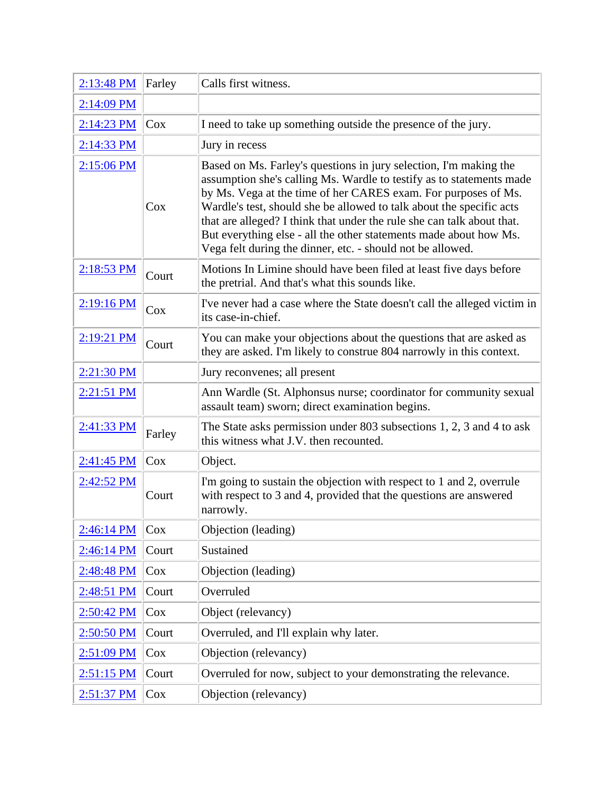| 2:13:48 PM   | Farley | Calls first witness.                                                                                                                                                                                                                                                                                                                                                                                                                                                                             |
|--------------|--------|--------------------------------------------------------------------------------------------------------------------------------------------------------------------------------------------------------------------------------------------------------------------------------------------------------------------------------------------------------------------------------------------------------------------------------------------------------------------------------------------------|
| 2:14:09 PM   |        |                                                                                                                                                                                                                                                                                                                                                                                                                                                                                                  |
| 2:14:23 PM   | Cox    | I need to take up something outside the presence of the jury.                                                                                                                                                                                                                                                                                                                                                                                                                                    |
| 2:14:33 PM   |        | Jury in recess                                                                                                                                                                                                                                                                                                                                                                                                                                                                                   |
| 2:15:06 PM   | Cox    | Based on Ms. Farley's questions in jury selection, I'm making the<br>assumption she's calling Ms. Wardle to testify as to statements made<br>by Ms. Vega at the time of her CARES exam. For purposes of Ms.<br>Wardle's test, should she be allowed to talk about the specific acts<br>that are alleged? I think that under the rule she can talk about that.<br>But everything else - all the other statements made about how Ms.<br>Vega felt during the dinner, etc. - should not be allowed. |
| $2:18:53$ PM | Court  | Motions In Limine should have been filed at least five days before<br>the pretrial. And that's what this sounds like.                                                                                                                                                                                                                                                                                                                                                                            |
| $2:19:16$ PM | Cox    | I've never had a case where the State doesn't call the alleged victim in<br>its case-in-chief.                                                                                                                                                                                                                                                                                                                                                                                                   |
| $2:19:21$ PM | Court  | You can make your objections about the questions that are asked as<br>they are asked. I'm likely to construe 804 narrowly in this context.                                                                                                                                                                                                                                                                                                                                                       |
| 2:21:30 PM   |        | Jury reconvenes; all present                                                                                                                                                                                                                                                                                                                                                                                                                                                                     |
| $2:21:51$ PM |        | Ann Wardle (St. Alphonsus nurse; coordinator for community sexual<br>assault team) sworn; direct examination begins.                                                                                                                                                                                                                                                                                                                                                                             |
| $2:41:33$ PM | Farley | The State asks permission under 803 subsections 1, 2, 3 and 4 to ask<br>this witness what J.V. then recounted.                                                                                                                                                                                                                                                                                                                                                                                   |
| 2:41:45 PM   | $\cos$ | Object.                                                                                                                                                                                                                                                                                                                                                                                                                                                                                          |
| 2:42:52 PM   | Court  | I'm going to sustain the objection with respect to 1 and 2, overrule<br>with respect to 3 and 4, provided that the questions are answered<br>narrowly.                                                                                                                                                                                                                                                                                                                                           |
| 2:46:14 PM   | Cox    | Objection (leading)                                                                                                                                                                                                                                                                                                                                                                                                                                                                              |
| 2:46:14 PM   | Court  | Sustained                                                                                                                                                                                                                                                                                                                                                                                                                                                                                        |
| 2:48:48 PM   | Cox    | Objection (leading)                                                                                                                                                                                                                                                                                                                                                                                                                                                                              |
| 2:48:51 PM   | Court  | Overruled                                                                                                                                                                                                                                                                                                                                                                                                                                                                                        |
| 2:50:42 PM   | Cox    | Object (relevancy)                                                                                                                                                                                                                                                                                                                                                                                                                                                                               |
| 2:50:50 PM   | Court  | Overruled, and I'll explain why later.                                                                                                                                                                                                                                                                                                                                                                                                                                                           |
| 2:51:09 PM   | Cox    | Objection (relevancy)                                                                                                                                                                                                                                                                                                                                                                                                                                                                            |
| $2:51:15$ PM | Court  | Overruled for now, subject to your demonstrating the relevance.                                                                                                                                                                                                                                                                                                                                                                                                                                  |
| 2:51:37 PM   | Cox    | Objection (relevancy)                                                                                                                                                                                                                                                                                                                                                                                                                                                                            |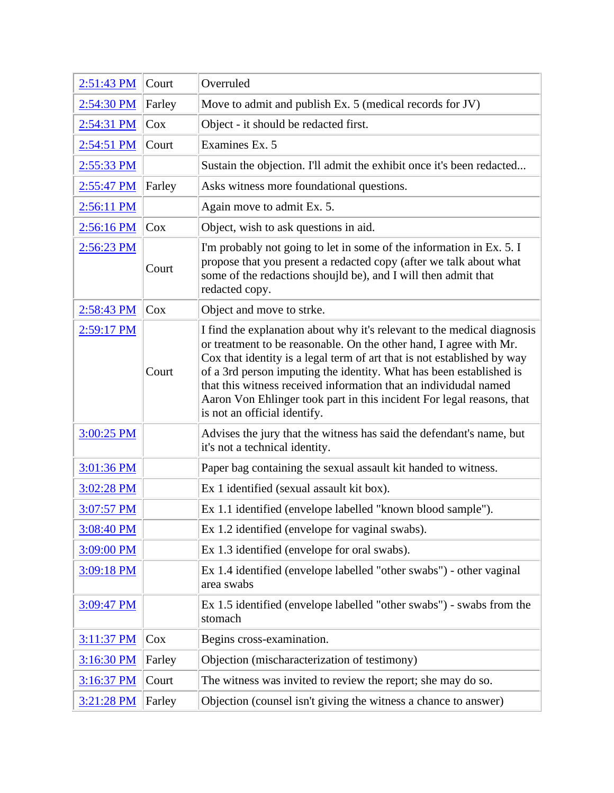| 2:51:43 PM           | Court  | Overruled                                                                                                                                                                                                                                                                                                                                                                                                                                                                    |
|----------------------|--------|------------------------------------------------------------------------------------------------------------------------------------------------------------------------------------------------------------------------------------------------------------------------------------------------------------------------------------------------------------------------------------------------------------------------------------------------------------------------------|
| 2:54:30 PM           | Farley | Move to admit and publish Ex. 5 (medical records for JV)                                                                                                                                                                                                                                                                                                                                                                                                                     |
| 2:54:31 PM           | Cox    | Object - it should be redacted first.                                                                                                                                                                                                                                                                                                                                                                                                                                        |
| 2:54:51 PM           | Court  | Examines Ex. 5                                                                                                                                                                                                                                                                                                                                                                                                                                                               |
| 2:55:33 PM           |        | Sustain the objection. I'll admit the exhibit once it's been redacted                                                                                                                                                                                                                                                                                                                                                                                                        |
| 2:55:47 PM           | Farley | Asks witness more foundational questions.                                                                                                                                                                                                                                                                                                                                                                                                                                    |
| 2:56:11 PM           |        | Again move to admit Ex. 5.                                                                                                                                                                                                                                                                                                                                                                                                                                                   |
| 2:56:16 PM           | Cox    | Object, wish to ask questions in aid.                                                                                                                                                                                                                                                                                                                                                                                                                                        |
| $2:56:23 \text{ PM}$ | Court  | I'm probably not going to let in some of the information in Ex. 5. I<br>propose that you present a redacted copy (after we talk about what<br>some of the redactions shoujld be), and I will then admit that<br>redacted copy.                                                                                                                                                                                                                                               |
| 2:58:43 PM           | Cox    | Object and move to strke.                                                                                                                                                                                                                                                                                                                                                                                                                                                    |
| 2:59:17 PM           | Court  | I find the explanation about why it's relevant to the medical diagnosis<br>or treatment to be reasonable. On the other hand, I agree with Mr.<br>Cox that identity is a legal term of art that is not established by way<br>of a 3rd person imputing the identity. What has been established is<br>that this witness received information that an individudal named<br>Aaron Von Ehlinger took part in this incident For legal reasons, that<br>is not an official identify. |
| 3:00:25 PM           |        | Advises the jury that the witness has said the defendant's name, but<br>it's not a technical identity.                                                                                                                                                                                                                                                                                                                                                                       |
| 3:01:36 PM           |        | Paper bag containing the sexual assault kit handed to witness.                                                                                                                                                                                                                                                                                                                                                                                                               |
| 3:02:28 PM           |        | Ex 1 identified (sexual assault kit box).                                                                                                                                                                                                                                                                                                                                                                                                                                    |
| 3:07:57 PM           |        | Ex 1.1 identified (envelope labelled "known blood sample").                                                                                                                                                                                                                                                                                                                                                                                                                  |
| 3:08:40 PM           |        | Ex 1.2 identified (envelope for vaginal swabs).                                                                                                                                                                                                                                                                                                                                                                                                                              |
| 3:09:00 PM           |        | Ex 1.3 identified (envelope for oral swabs).                                                                                                                                                                                                                                                                                                                                                                                                                                 |
| 3:09:18 PM           |        | Ex 1.4 identified (envelope labelled "other swabs") - other vaginal<br>area swabs                                                                                                                                                                                                                                                                                                                                                                                            |
| 3:09:47 PM           |        | Ex 1.5 identified (envelope labelled "other swabs") - swabs from the<br>stomach                                                                                                                                                                                                                                                                                                                                                                                              |
| 3:11:37 PM           | Cox    | Begins cross-examination.                                                                                                                                                                                                                                                                                                                                                                                                                                                    |
| 3:16:30 PM           | Farley | Objection (mischaracterization of testimony)                                                                                                                                                                                                                                                                                                                                                                                                                                 |
| 3:16:37 PM           | Court  | The witness was invited to review the report; she may do so.                                                                                                                                                                                                                                                                                                                                                                                                                 |
| 3:21:28 PM           | Farley | Objection (counsel isn't giving the witness a chance to answer)                                                                                                                                                                                                                                                                                                                                                                                                              |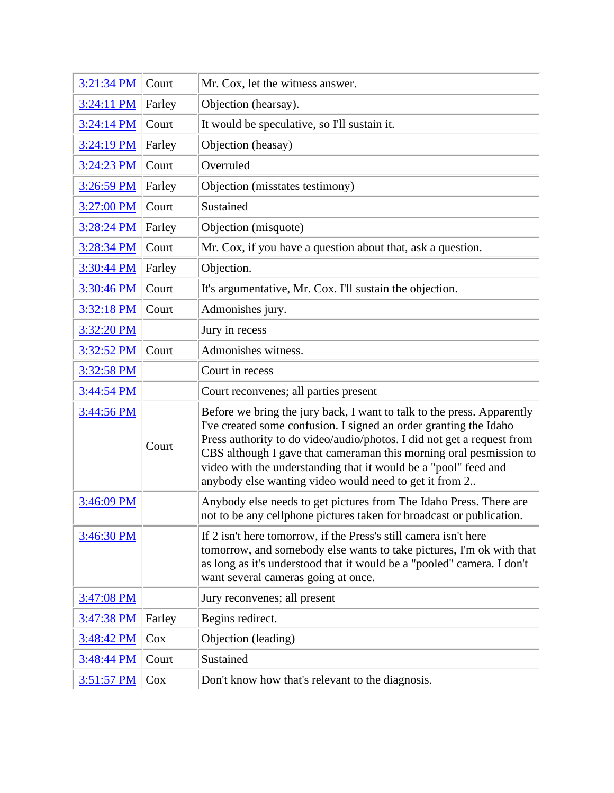| 3:21:34 PM        | Court  | Mr. Cox, let the witness answer.                                                                                                                                                                                                                                                                                                                                                                                         |
|-------------------|--------|--------------------------------------------------------------------------------------------------------------------------------------------------------------------------------------------------------------------------------------------------------------------------------------------------------------------------------------------------------------------------------------------------------------------------|
| $3:24:11$ PM      | Farley | Objection (hearsay).                                                                                                                                                                                                                                                                                                                                                                                                     |
| 3:24:14 PM        | Court  | It would be speculative, so I'll sustain it.                                                                                                                                                                                                                                                                                                                                                                             |
| 3:24:19 PM        | Farley | Objection (heasay)                                                                                                                                                                                                                                                                                                                                                                                                       |
| 3:24:23 PM        | Court  | Overruled                                                                                                                                                                                                                                                                                                                                                                                                                |
| 3:26:59 PM        | Farley | Objection (misstates testimony)                                                                                                                                                                                                                                                                                                                                                                                          |
| 3:27:00 PM        | Court  | Sustained                                                                                                                                                                                                                                                                                                                                                                                                                |
| 3:28:24 PM        | Farley | Objection (misquote)                                                                                                                                                                                                                                                                                                                                                                                                     |
| 3:28:34 PM        | Court  | Mr. Cox, if you have a question about that, ask a question.                                                                                                                                                                                                                                                                                                                                                              |
| 3:30:44 PM        | Farley | Objection.                                                                                                                                                                                                                                                                                                                                                                                                               |
| 3:30:46 PM        | Court  | It's argumentative, Mr. Cox. I'll sustain the objection.                                                                                                                                                                                                                                                                                                                                                                 |
| 3:32:18 PM        | Court  | Admonishes jury.                                                                                                                                                                                                                                                                                                                                                                                                         |
| 3:32:20 PM        |        | Jury in recess                                                                                                                                                                                                                                                                                                                                                                                                           |
| 3:32:52 PM        | Court  | Admonishes witness.                                                                                                                                                                                                                                                                                                                                                                                                      |
| 3:32:58 PM        |        | Court in recess                                                                                                                                                                                                                                                                                                                                                                                                          |
| 3:44:54 PM        |        | Court reconvenes; all parties present                                                                                                                                                                                                                                                                                                                                                                                    |
| 3:44:56 PM        | Court  | Before we bring the jury back, I want to talk to the press. Apparently<br>I've created some confusion. I signed an order granting the Idaho<br>Press authority to do video/audio/photos. I did not get a request from<br>CBS although I gave that cameraman this morning oral pesmission to<br>video with the understanding that it would be a "pool" feed and<br>anybody else wanting video would need to get it from 2 |
| 3:46:09 PM        |        | Anybody else needs to get pictures from The Idaho Press. There are<br>not to be any cellphone pictures taken for broadcast or publication.                                                                                                                                                                                                                                                                               |
| 3:46:30 PM        |        | If 2 isn't here tomorrow, if the Press's still camera isn't here<br>tomorrow, and somebody else wants to take pictures, I'm ok with that<br>as long as it's understood that it would be a "pooled" camera. I don't<br>want several cameras going at once.                                                                                                                                                                |
| 3:47:08 PM        |        | Jury reconvenes; all present                                                                                                                                                                                                                                                                                                                                                                                             |
| <u>3:47:38 PM</u> | Farley | Begins redirect.                                                                                                                                                                                                                                                                                                                                                                                                         |
| 3:48:42 PM        | Cox    | Objection (leading)                                                                                                                                                                                                                                                                                                                                                                                                      |
| 3:48:44 PM        | Court  | Sustained                                                                                                                                                                                                                                                                                                                                                                                                                |
| 3:51:57 PM        | Cox    | Don't know how that's relevant to the diagnosis.                                                                                                                                                                                                                                                                                                                                                                         |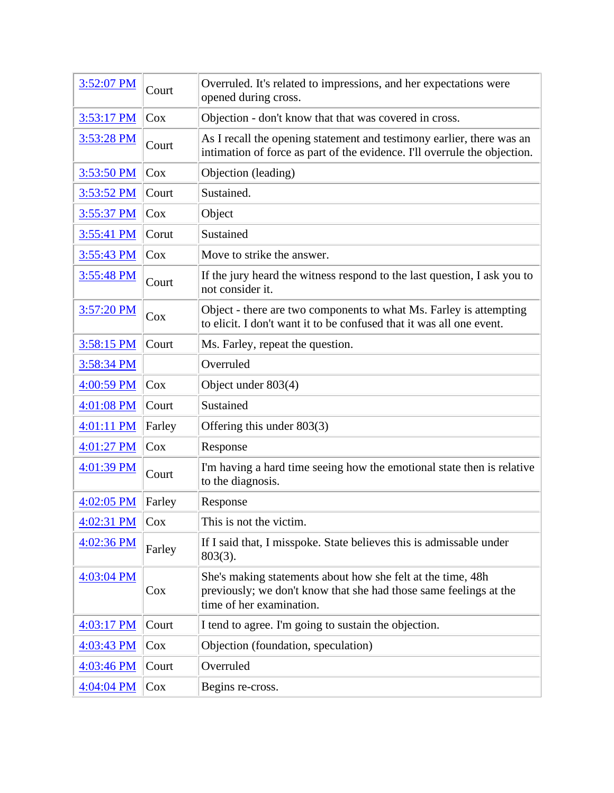| 3:52:07 PM   | Court  | Overruled. It's related to impressions, and her expectations were<br>opened during cross.                                                                    |
|--------------|--------|--------------------------------------------------------------------------------------------------------------------------------------------------------------|
| $3:53:17$ PM | Cox    | Objection - don't know that that was covered in cross.                                                                                                       |
| 3:53:28 PM   | Court  | As I recall the opening statement and testimony earlier, there was an<br>intimation of force as part of the evidence. I'll overrule the objection.           |
| 3:53:50 PM   | Cox    | Objection (leading)                                                                                                                                          |
| 3:53:52 PM   | Court  | Sustained.                                                                                                                                                   |
| 3:55:37 PM   | Cox    | Object                                                                                                                                                       |
| 3:55:41 PM   | Corut  | Sustained                                                                                                                                                    |
| 3:55:43 PM   | Cox    | Move to strike the answer.                                                                                                                                   |
| 3:55:48 PM   | Court  | If the jury heard the witness respond to the last question, I ask you to<br>not consider it.                                                                 |
| $3:57:20$ PM | $\cos$ | Object - there are two components to what Ms. Farley is attempting<br>to elicit. I don't want it to be confused that it was all one event.                   |
| 3:58:15 PM   | Court  | Ms. Farley, repeat the question.                                                                                                                             |
| 3:58:34 PM   |        | Overruled                                                                                                                                                    |
| 4:00:59 PM   | Cox    | Object under 803(4)                                                                                                                                          |
| 4:01:08 PM   | Court  | Sustained                                                                                                                                                    |
| $4:01:11$ PM | Farley | Offering this under 803(3)                                                                                                                                   |
| 4:01:27 PM   | Cox    | Response                                                                                                                                                     |
| 4:01:39 PM   | Court  | I'm having a hard time seeing how the emotional state then is relative<br>to the diagnosis.                                                                  |
| $4:02:05$ PM | Farley | Response                                                                                                                                                     |
| $4:02:31$ PM | Cox    | This is not the victim.                                                                                                                                      |
| 4:02:36 PM   | Farley | If I said that, I misspoke. State believes this is admissable under<br>$803(3)$ .                                                                            |
| 4:03:04 PM   | $\cos$ | She's making statements about how she felt at the time, 48h<br>previously; we don't know that she had those same feelings at the<br>time of her examination. |
| 4:03:17 PM   | Court  | I tend to agree. I'm going to sustain the objection.                                                                                                         |
| 4:03:43 PM   | Cox    | Objection (foundation, speculation)                                                                                                                          |
| 4:03:46 PM   | Court  | Overruled                                                                                                                                                    |
| $4:04:04$ PM | Cox    | Begins re-cross.                                                                                                                                             |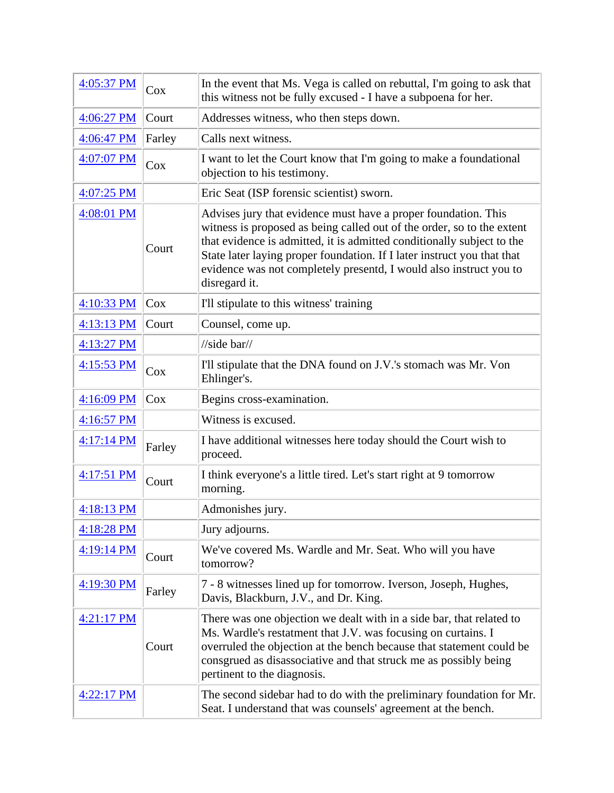| 4:05:37 PM           | Cox    | In the event that Ms. Vega is called on rebuttal, I'm going to ask that<br>this witness not be fully excused - I have a subpoena for her.                                                                                                                                                                                                                                            |
|----------------------|--------|--------------------------------------------------------------------------------------------------------------------------------------------------------------------------------------------------------------------------------------------------------------------------------------------------------------------------------------------------------------------------------------|
| 4:06:27 PM           | Court  | Addresses witness, who then steps down.                                                                                                                                                                                                                                                                                                                                              |
| 4:06:47 PM           | Farley | Calls next witness.                                                                                                                                                                                                                                                                                                                                                                  |
| 4:07:07 PM           | Cox    | I want to let the Court know that I'm going to make a foundational<br>objection to his testimony.                                                                                                                                                                                                                                                                                    |
| 4:07:25 PM           |        | Eric Seat (ISP forensic scientist) sworn.                                                                                                                                                                                                                                                                                                                                            |
| 4:08:01 PM           | Court  | Advises jury that evidence must have a proper foundation. This<br>witness is proposed as being called out of the order, so to the extent<br>that evidence is admitted, it is admitted conditionally subject to the<br>State later laying proper foundation. If I later instruct you that that<br>evidence was not completely presentd, I would also instruct you to<br>disregard it. |
| 4:10:33 PM           | Cox    | I'll stipulate to this witness' training                                                                                                                                                                                                                                                                                                                                             |
| 4:13:13 PM           | Court  | Counsel, come up.                                                                                                                                                                                                                                                                                                                                                                    |
| 4:13:27 PM           |        | $\frac{\text{m}}{\text{s}$ ide bar $\frac{\text{m}}{\text{s}}$                                                                                                                                                                                                                                                                                                                       |
| 4:15:53 PM           | Cox    | I'll stipulate that the DNA found on J.V.'s stomach was Mr. Von<br>Ehlinger's.                                                                                                                                                                                                                                                                                                       |
| 4:16:09 PM           | Cox    | Begins cross-examination.                                                                                                                                                                                                                                                                                                                                                            |
| 4:16:57 PM           |        | Witness is excused.                                                                                                                                                                                                                                                                                                                                                                  |
| $4:17:14$ PM         | Farley | I have additional witnesses here today should the Court wish to<br>proceed.                                                                                                                                                                                                                                                                                                          |
| $4:17:51$ PM         | Court  | I think everyone's a little tired. Let's start right at 9 tomorrow<br>morning.                                                                                                                                                                                                                                                                                                       |
| 4:18:13 PM           |        | Admonishes jury.                                                                                                                                                                                                                                                                                                                                                                     |
| 4:18:28 PM           |        | Jury adjourns.                                                                                                                                                                                                                                                                                                                                                                       |
| $4:19:14 \text{ PM}$ | Court  | We've covered Ms. Wardle and Mr. Seat. Who will you have<br>tomorrow?                                                                                                                                                                                                                                                                                                                |
| 4:19:30 PM           | Farley | 7 - 8 witnesses lined up for tomorrow. Iverson, Joseph, Hughes,<br>Davis, Blackburn, J.V., and Dr. King.                                                                                                                                                                                                                                                                             |
| $4:21:17$ PM         | Court  | There was one objection we dealt with in a side bar, that related to<br>Ms. Wardle's restatment that J.V. was focusing on curtains. I<br>overruled the objection at the bench because that statement could be<br>consgrued as disassociative and that struck me as possibly being<br>pertinent to the diagnosis.                                                                     |
| $4:22:17 \text{ PM}$ |        | The second sidebar had to do with the preliminary foundation for Mr.<br>Seat. I understand that was counsels' agreement at the bench.                                                                                                                                                                                                                                                |